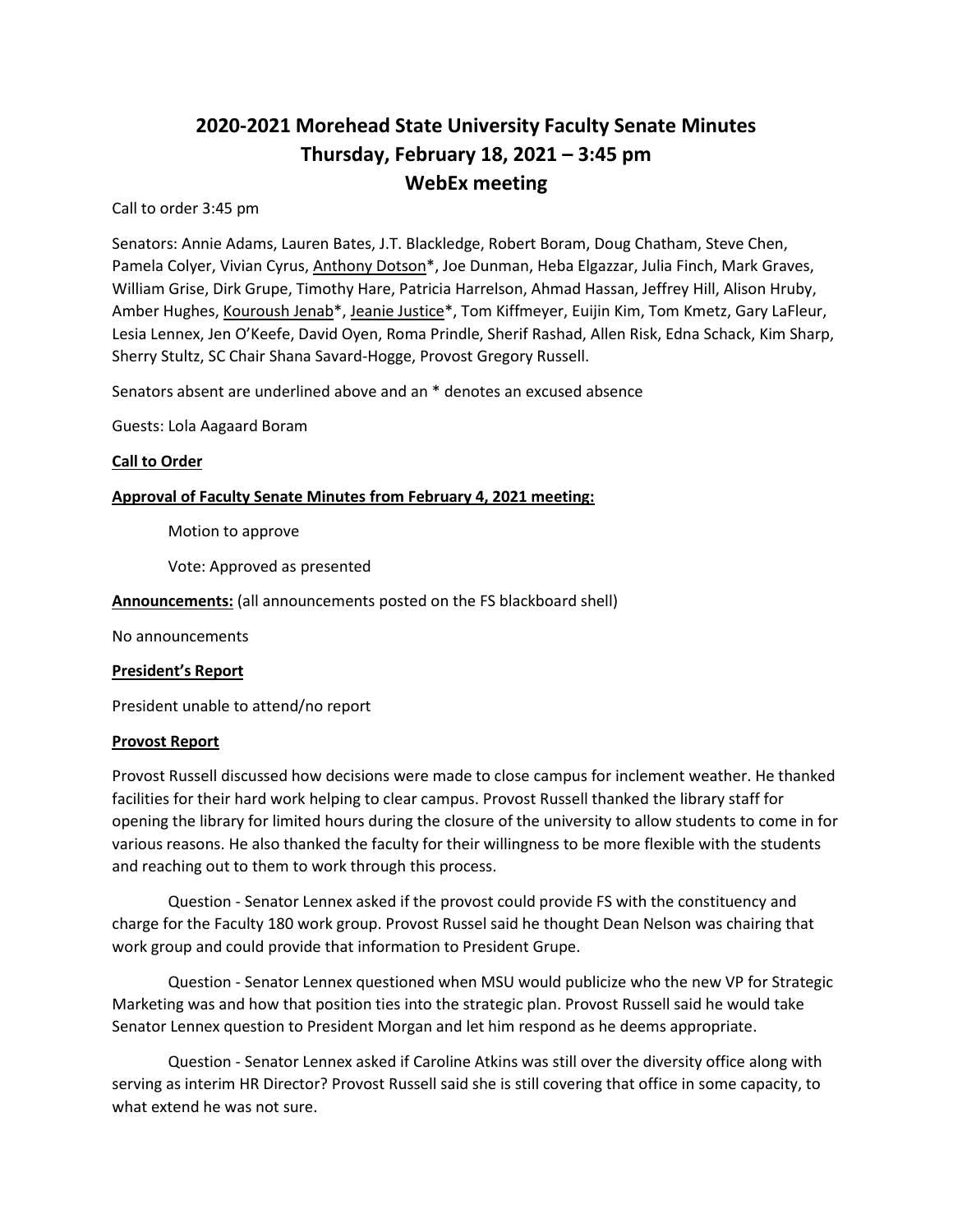# **2020-2021 Morehead State University Faculty Senate Minutes Thursday, February 18, 2021 – 3:45 pm WebEx meeting**

Call to order 3:45 pm

Senators: Annie Adams, Lauren Bates, J.T. Blackledge, Robert Boram, Doug Chatham, Steve Chen, Pamela Colyer, Vivian Cyrus, Anthony Dotson\*, Joe Dunman, Heba Elgazzar, Julia Finch, Mark Graves, William Grise, Dirk Grupe, Timothy Hare, Patricia Harrelson, Ahmad Hassan, Jeffrey Hill, Alison Hruby, Amber Hughes, Kouroush Jenab\*, Jeanie Justice\*, Tom Kiffmeyer, Euijin Kim, Tom Kmetz, Gary LaFleur, Lesia Lennex, Jen O'Keefe, David Oyen, Roma Prindle, Sherif Rashad, Allen Risk, Edna Schack, Kim Sharp, Sherry Stultz, SC Chair Shana Savard-Hogge, Provost Gregory Russell.

Senators absent are underlined above and an \* denotes an excused absence

Guests: Lola Aagaard Boram

## **Call to Order**

## **Approval of Faculty Senate Minutes from February 4, 2021 meeting:**

Motion to approve

Vote: Approved as presented

**Announcements:** (all announcements posted on the FS blackboard shell)

No announcements

## **President's Report**

President unable to attend/no report

## **Provost Report**

Provost Russell discussed how decisions were made to close campus for inclement weather. He thanked facilities for their hard work helping to clear campus. Provost Russell thanked the library staff for opening the library for limited hours during the closure of the university to allow students to come in for various reasons. He also thanked the faculty for their willingness to be more flexible with the students and reaching out to them to work through this process.

Question - Senator Lennex asked if the provost could provide FS with the constituency and charge for the Faculty 180 work group. Provost Russel said he thought Dean Nelson was chairing that work group and could provide that information to President Grupe.

Question - Senator Lennex questioned when MSU would publicize who the new VP for Strategic Marketing was and how that position ties into the strategic plan. Provost Russell said he would take Senator Lennex question to President Morgan and let him respond as he deems appropriate.

Question - Senator Lennex asked if Caroline Atkins was still over the diversity office along with serving as interim HR Director? Provost Russell said she is still covering that office in some capacity, to what extend he was not sure.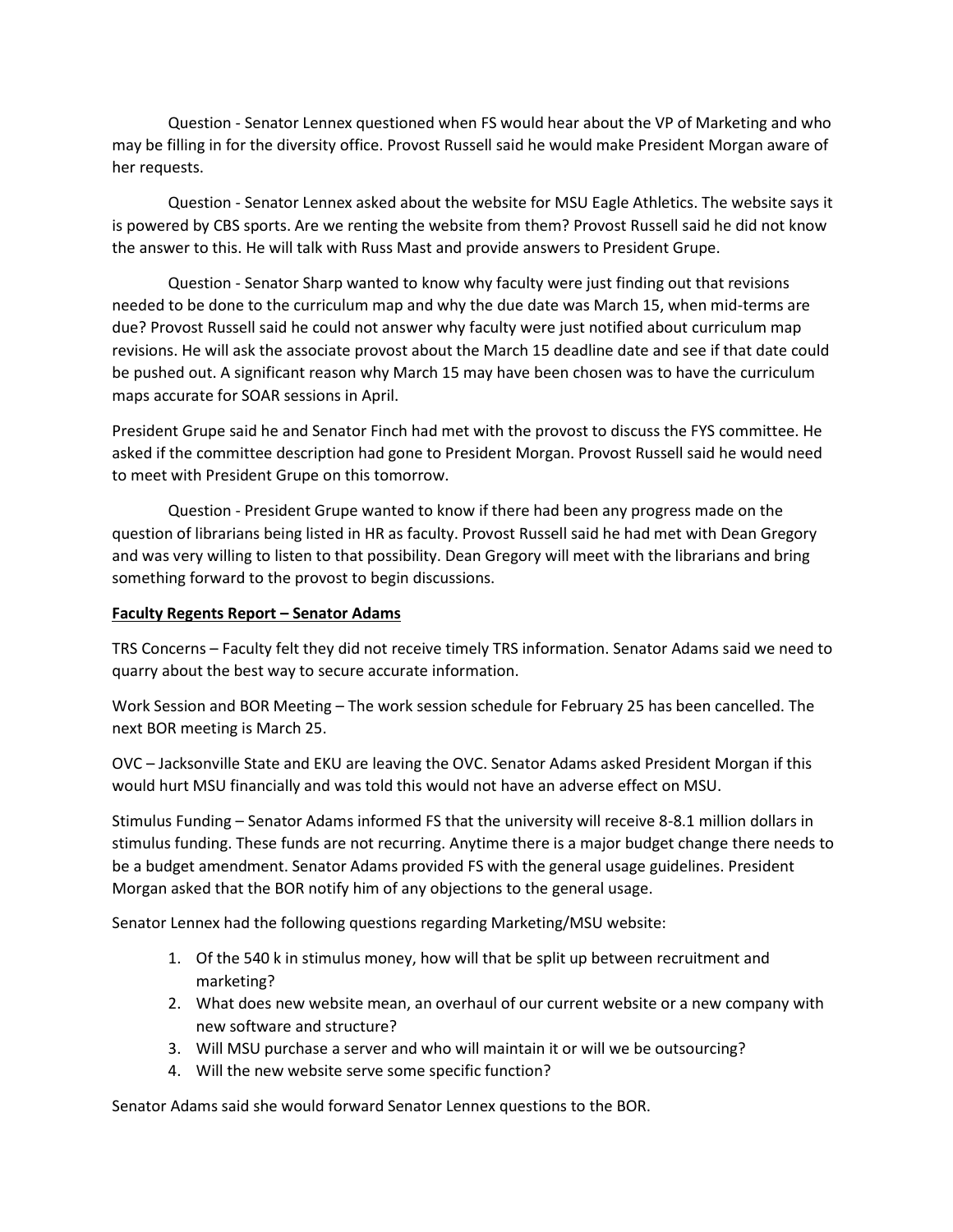Question - Senator Lennex questioned when FS would hear about the VP of Marketing and who may be filling in for the diversity office. Provost Russell said he would make President Morgan aware of her requests.

Question - Senator Lennex asked about the website for MSU Eagle Athletics. The website says it is powered by CBS sports. Are we renting the website from them? Provost Russell said he did not know the answer to this. He will talk with Russ Mast and provide answers to President Grupe.

Question - Senator Sharp wanted to know why faculty were just finding out that revisions needed to be done to the curriculum map and why the due date was March 15, when mid-terms are due? Provost Russell said he could not answer why faculty were just notified about curriculum map revisions. He will ask the associate provost about the March 15 deadline date and see if that date could be pushed out. A significant reason why March 15 may have been chosen was to have the curriculum maps accurate for SOAR sessions in April.

President Grupe said he and Senator Finch had met with the provost to discuss the FYS committee. He asked if the committee description had gone to President Morgan. Provost Russell said he would need to meet with President Grupe on this tomorrow.

Question - President Grupe wanted to know if there had been any progress made on the question of librarians being listed in HR as faculty. Provost Russell said he had met with Dean Gregory and was very willing to listen to that possibility. Dean Gregory will meet with the librarians and bring something forward to the provost to begin discussions.

#### **Faculty Regents Report – Senator Adams**

TRS Concerns – Faculty felt they did not receive timely TRS information. Senator Adams said we need to quarry about the best way to secure accurate information.

Work Session and BOR Meeting – The work session schedule for February 25 has been cancelled. The next BOR meeting is March 25.

OVC – Jacksonville State and EKU are leaving the OVC. Senator Adams asked President Morgan if this would hurt MSU financially and was told this would not have an adverse effect on MSU.

Stimulus Funding – Senator Adams informed FS that the university will receive 8-8.1 million dollars in stimulus funding. These funds are not recurring. Anytime there is a major budget change there needs to be a budget amendment. Senator Adams provided FS with the general usage guidelines. President Morgan asked that the BOR notify him of any objections to the general usage.

Senator Lennex had the following questions regarding Marketing/MSU website:

- 1. Of the 540 k in stimulus money, how will that be split up between recruitment and marketing?
- 2. What does new website mean, an overhaul of our current website or a new company with new software and structure?
- 3. Will MSU purchase a server and who will maintain it or will we be outsourcing?
- 4. Will the new website serve some specific function?

Senator Adams said she would forward Senator Lennex questions to the BOR.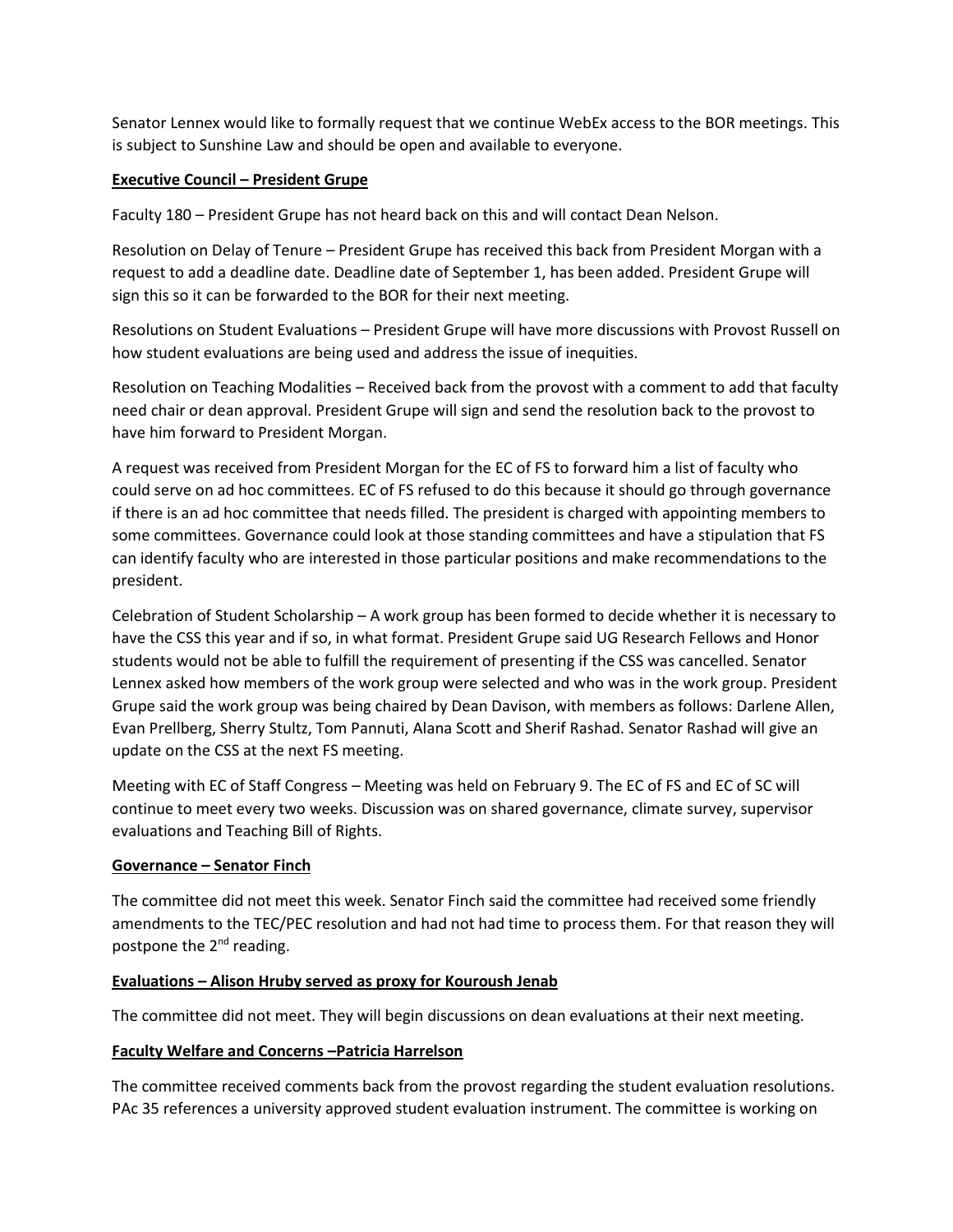Senator Lennex would like to formally request that we continue WebEx access to the BOR meetings. This is subject to Sunshine Law and should be open and available to everyone.

## **Executive Council – President Grupe**

Faculty 180 – President Grupe has not heard back on this and will contact Dean Nelson.

Resolution on Delay of Tenure – President Grupe has received this back from President Morgan with a request to add a deadline date. Deadline date of September 1, has been added. President Grupe will sign this so it can be forwarded to the BOR for their next meeting.

Resolutions on Student Evaluations – President Grupe will have more discussions with Provost Russell on how student evaluations are being used and address the issue of inequities.

Resolution on Teaching Modalities – Received back from the provost with a comment to add that faculty need chair or dean approval. President Grupe will sign and send the resolution back to the provost to have him forward to President Morgan.

A request was received from President Morgan for the EC of FS to forward him a list of faculty who could serve on ad hoc committees. EC of FS refused to do this because it should go through governance if there is an ad hoc committee that needs filled. The president is charged with appointing members to some committees. Governance could look at those standing committees and have a stipulation that FS can identify faculty who are interested in those particular positions and make recommendations to the president.

Celebration of Student Scholarship – A work group has been formed to decide whether it is necessary to have the CSS this year and if so, in what format. President Grupe said UG Research Fellows and Honor students would not be able to fulfill the requirement of presenting if the CSS was cancelled. Senator Lennex asked how members of the work group were selected and who was in the work group. President Grupe said the work group was being chaired by Dean Davison, with members as follows: Darlene Allen, Evan Prellberg, Sherry Stultz, Tom Pannuti, Alana Scott and Sherif Rashad. Senator Rashad will give an update on the CSS at the next FS meeting.

Meeting with EC of Staff Congress – Meeting was held on February 9. The EC of FS and EC of SC will continue to meet every two weeks. Discussion was on shared governance, climate survey, supervisor evaluations and Teaching Bill of Rights.

## **Governance – Senator Finch**

The committee did not meet this week. Senator Finch said the committee had received some friendly amendments to the TEC/PEC resolution and had not had time to process them. For that reason they will postpone the  $2^{nd}$  reading.

## **Evaluations – Alison Hruby served as proxy for Kouroush Jenab**

The committee did not meet. They will begin discussions on dean evaluations at their next meeting.

## **Faculty Welfare and Concerns –Patricia Harrelson**

The committee received comments back from the provost regarding the student evaluation resolutions. PAc 35 references a university approved student evaluation instrument. The committee is working on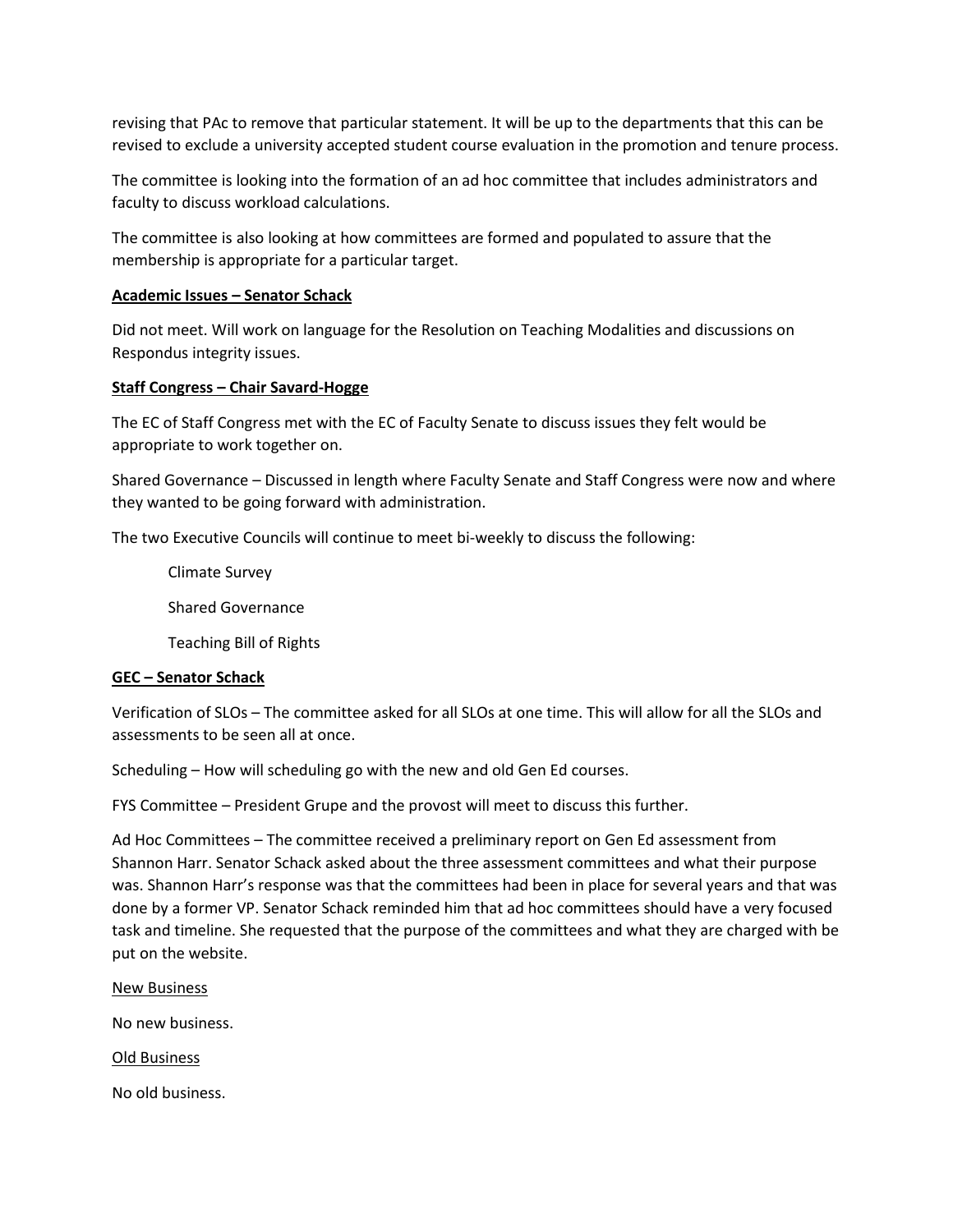revising that PAc to remove that particular statement. It will be up to the departments that this can be revised to exclude a university accepted student course evaluation in the promotion and tenure process.

The committee is looking into the formation of an ad hoc committee that includes administrators and faculty to discuss workload calculations.

The committee is also looking at how committees are formed and populated to assure that the membership is appropriate for a particular target.

#### **Academic Issues – Senator Schack**

Did not meet. Will work on language for the Resolution on Teaching Modalities and discussions on Respondus integrity issues.

#### **Staff Congress – Chair Savard-Hogge**

The EC of Staff Congress met with the EC of Faculty Senate to discuss issues they felt would be appropriate to work together on.

Shared Governance – Discussed in length where Faculty Senate and Staff Congress were now and where they wanted to be going forward with administration.

The two Executive Councils will continue to meet bi-weekly to discuss the following:

Climate Survey Shared Governance

Teaching Bill of Rights

#### **GEC – Senator Schack**

Verification of SLOs – The committee asked for all SLOs at one time. This will allow for all the SLOs and assessments to be seen all at once.

Scheduling – How will scheduling go with the new and old Gen Ed courses.

FYS Committee – President Grupe and the provost will meet to discuss this further.

Ad Hoc Committees – The committee received a preliminary report on Gen Ed assessment from Shannon Harr. Senator Schack asked about the three assessment committees and what their purpose was. Shannon Harr's response was that the committees had been in place for several years and that was done by a former VP. Senator Schack reminded him that ad hoc committees should have a very focused task and timeline. She requested that the purpose of the committees and what they are charged with be put on the website.

New Business

No new business.

Old Business

No old business.